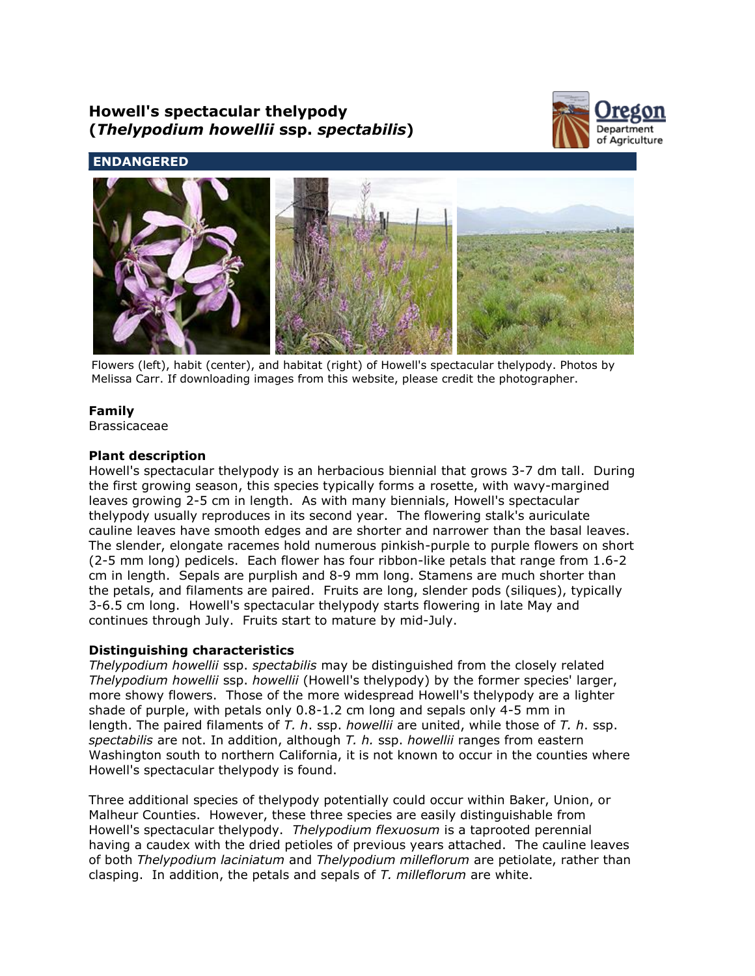# **Howell's spectacular thelypody (***Thelypodium howellii* **ssp.** *spectabilis***)**



**ENDANGERED**



Flowers (left), habit (center), and habitat (right) of Howell's spectacular thelypody. Photos by Melissa Carr. If downloading images from this website, please credit the photographer.

# **Family**

Brassicaceae

# **Plant description**

Howell's spectacular thelypody is an herbacious biennial that grows 3-7 dm tall. During the first growing season, this species typically forms a rosette, with wavy-margined leaves growing 2-5 cm in length. As with many biennials, Howell's spectacular thelypody usually reproduces in its second year. The flowering stalk's auriculate cauline leaves have smooth edges and are shorter and narrower than the basal leaves. The slender, elongate racemes hold numerous pinkish-purple to purple flowers on short (2-5 mm long) pedicels. Each flower has four ribbon-like petals that range from 1.6-2 cm in length. Sepals are purplish and 8-9 mm long. Stamens are much shorter than the petals, and filaments are paired. Fruits are long, slender pods (siliques), typically 3-6.5 cm long. Howell's spectacular thelypody starts flowering in late May and continues through July. Fruits start to mature by mid-July.

# **Distinguishing characteristics**

*Thelypodium howellii* ssp. *spectabilis* may be distinguished from the closely related *Thelypodium howellii* ssp. *howellii* (Howell's thelypody) by the former species' larger, more showy flowers. Those of the more widespread Howell's thelypody are a lighter shade of purple, with petals only 0.8-1.2 cm long and sepals only 4-5 mm in length. The paired filaments of *T. h*. ssp. *howellii* are united, while those of *T. h*. ssp. *spectabilis* are not. In addition, although *T. h.* ssp. *howellii* ranges from eastern Washington south to northern California, it is not known to occur in the counties where Howell's spectacular thelypody is found.

Three additional species of thelypody potentially could occur within Baker, Union, or Malheur Counties. However, these three species are easily distinguishable from Howell's spectacular thelypody. *Thelypodium flexuosum* is a taprooted perennial having a caudex with the dried petioles of previous years attached. The cauline leaves of both *Thelypodium laciniatum* and *Thelypodium milleflorum* are petiolate, rather than clasping. In addition, the petals and sepals of *T. milleflorum* are white.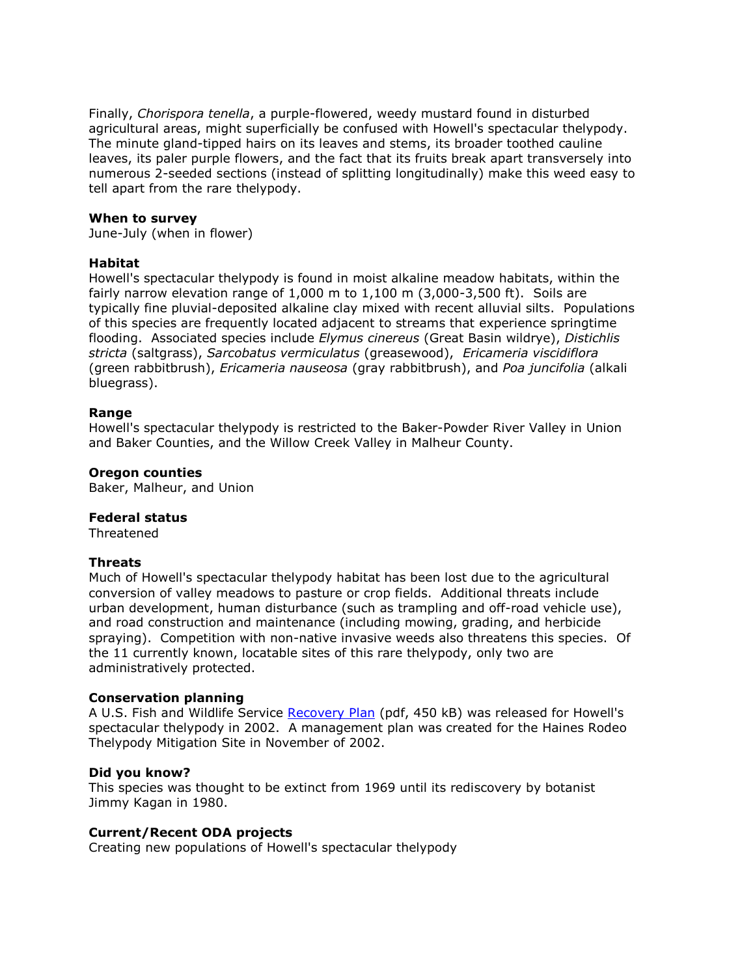Finally, *Chorispora tenella*, a purple-flowered, weedy mustard found in disturbed agricultural areas, might superficially be confused with Howell's spectacular thelypody. The minute gland-tipped hairs on its leaves and stems, its broader toothed cauline leaves, its paler purple flowers, and the fact that its fruits break apart transversely into numerous 2-seeded sections (instead of splitting longitudinally) make this weed easy to tell apart from the rare thelypody.

## **When to survey**

June-July (when in flower)

## **Habitat**

Howell's spectacular thelypody is found in moist alkaline meadow habitats, within the fairly narrow elevation range of  $1,000$  m to  $1,100$  m  $(3,000-3,500)$  ft). Soils are typically fine pluvial-deposited alkaline clay mixed with recent alluvial silts. Populations of this species are frequently located adjacent to streams that experience springtime flooding. Associated species include *Elymus cinereus* (Great Basin wildrye), *Distichlis stricta* (saltgrass), *Sarcobatus vermiculatus* (greasewood), *Ericameria viscidiflora* (green rabbitbrush), *Ericameria nauseosa* (gray rabbitbrush), and *Poa juncifolia* (alkali bluegrass).

## **Range**

Howell's spectacular thelypody is restricted to the Baker-Powder River Valley in Union and Baker Counties, and the Willow Creek Valley in Malheur County.

#### **Oregon counties**

Baker, Malheur, and Union

#### **Federal status**

Threatened

# **Threats**

Much of Howell's spectacular thelypody habitat has been lost due to the agricultural conversion of valley meadows to pasture or crop fields. Additional threats include urban development, human disturbance (such as trampling and off-road vehicle use), and road construction and maintenance (including mowing, grading, and herbicide spraying). Competition with non-native invasive weeds also threatens this species. Of the 11 currently known, locatable sites of this rare thelypody, only two are administratively protected.

#### **Conservation planning**

A U.S. Fish and Wildlife Service [Recovery Plan](http://ecos.fws.gov/docs/recovery_plan/020603.pdf) (pdf, 450 kB) was released for Howell's spectacular thelypody in 2002. A management plan was created for the Haines Rodeo Thelypody Mitigation Site in November of 2002.

#### **Did you know?**

This species was thought to be extinct from 1969 until its rediscovery by botanist Jimmy Kagan in 1980.

# **Current/Recent ODA projects**

Creating new populations of Howell's spectacular thelypody